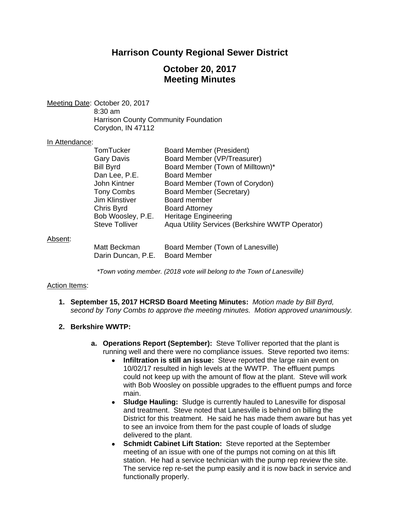# **Harrison County Regional Sewer District**

# **October 20, 2017 Meeting Minutes**

Meeting Date: October 20, 2017 8:30 am Harrison County Community Foundation Corydon, IN 47112

#### In Attendance:

| TomTucker             | Board Member (President)                        |
|-----------------------|-------------------------------------------------|
| Gary Davis            | Board Member (VP/Treasurer)                     |
| <b>Bill Byrd</b>      | Board Member (Town of Milltown)*                |
| Dan Lee, P.E.         | <b>Board Member</b>                             |
| John Kintner          | Board Member (Town of Corydon)                  |
| Tony Combs            | Board Member (Secretary)                        |
| <b>Jim Klinstiver</b> | Board member                                    |
| Chris Byrd            | <b>Board Attorney</b>                           |
| Bob Woosley, P.E.     | <b>Heritage Engineering</b>                     |
| <b>Steve Tolliver</b> | Aqua Utility Services (Berkshire WWTP Operator) |
|                       |                                                 |
| Matt Beckman          | Board Member (Town of Lanesville)               |
| Darin Duncan, P.E.    | <b>Board Member</b>                             |

### Absent:

*\*Town voting member. (2018 vote will belong to the Town of Lanesville)* 

#### Action Items:

**1. September 15, 2017 HCRSD Board Meeting Minutes:** *Motion made by Bill Byrd, second by Tony Combs to approve the meeting minutes. Motion approved unanimously.*

# **2. Berkshire WWTP:**

- **a. Operations Report (September):** Steve Tolliver reported that the plant is running well and there were no compliance issues. Steve reported two items:
	- **Infiltration is still an issue:** Steve reported the large rain event on 10/02/17 resulted in high levels at the WWTP. The effluent pumps could not keep up with the amount of flow at the plant. Steve will work with Bob Woosley on possible upgrades to the effluent pumps and force main.
	- **Sludge Hauling:** Sludge is currently hauled to Lanesville for disposal and treatment. Steve noted that Lanesville is behind on billing the District for this treatment. He said he has made them aware but has yet to see an invoice from them for the past couple of loads of sludge delivered to the plant.
	- **Schmidt Cabinet Lift Station:**Steve reported at the September meeting of an issue with one of the pumps not coming on at this lift station. He had a service technician with the pump rep review the site. The service rep re-set the pump easily and it is now back in service and functionally properly.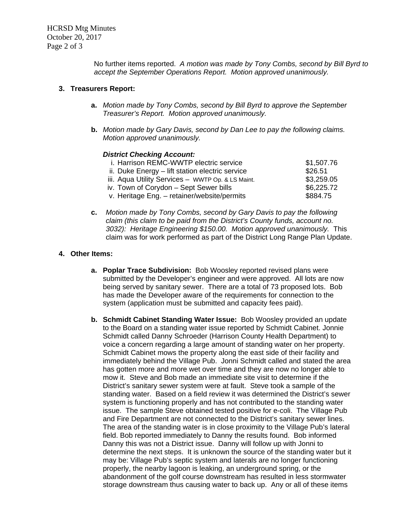No further items reported. *A motion was made by Tony Combs, second by Bill Byrd to accept the September Operations Report. Motion approved unanimously.* 

## **3. Treasurers Report:**

- **a.** *Motion made by Tony Combs, second by Bill Byrd to approve the September Treasurer's Report. Motion approved unanimously.*
- **b.** *Motion made by Gary Davis, second by Dan Lee to pay the following claims. Motion approved unanimously.*

### *District Checking Account:*

| i. Harrison REMC-WWTP electric service            | \$1,507.76 |
|---------------------------------------------------|------------|
| ii. Duke Energy – lift station electric service   | \$26.51    |
| iii. Aqua Utility Services - WWTP Op. & LS Maint. | \$3,259.05 |
| iv. Town of Corydon - Sept Sewer bills            | \$6,225.72 |
| v. Heritage Eng. - retainer/website/permits       | \$884.75   |
|                                                   |            |

**c.** *Motion made by Tony Combs, second by Gary Davis to pay the following claim (this claim to be paid from the District's County funds, account no. 3032): Heritage Engineering \$150.00. Motion approved unanimously.* This claim was for work performed as part of the District Long Range Plan Update.

## **4. Other Items:**

- **a. Poplar Trace Subdivision:** Bob Woosley reported revised plans were submitted by the Developer's engineer and were approved. All lots are now being served by sanitary sewer. There are a total of 73 proposed lots. Bob has made the Developer aware of the requirements for connection to the system (application must be submitted and capacity fees paid).
- **b. Schmidt Cabinet Standing Water Issue:** Bob Woosley provided an update to the Board on a standing water issue reported by Schmidt Cabinet. Jonnie Schmidt called Danny Schroeder (Harrison County Health Department) to voice a concern regarding a large amount of standing water on her property. Schmidt Cabinet mows the property along the east side of their facility and immediately behind the Village Pub. Jonni Schmidt called and stated the area has gotten more and more wet over time and they are now no longer able to mow it. Steve and Bob made an immediate site visit to determine if the District's sanitary sewer system were at fault. Steve took a sample of the standing water. Based on a field review it was determined the District's sewer system is functioning properly and has not contributed to the standing water issue. The sample Steve obtained tested positive for e-coli. The Village Pub and Fire Department are not connected to the District's sanitary sewer lines. The area of the standing water is in close proximity to the Village Pub's lateral field. Bob reported immediately to Danny the results found. Bob informed Danny this was not a District issue. Danny will follow up with Jonni to determine the next steps. It is unknown the source of the standing water but it may be: Village Pub's septic system and laterals are no longer functioning properly, the nearby lagoon is leaking, an underground spring, or the abandonment of the golf course downstream has resulted in less stormwater storage downstream thus causing water to back up. Any or all of these items